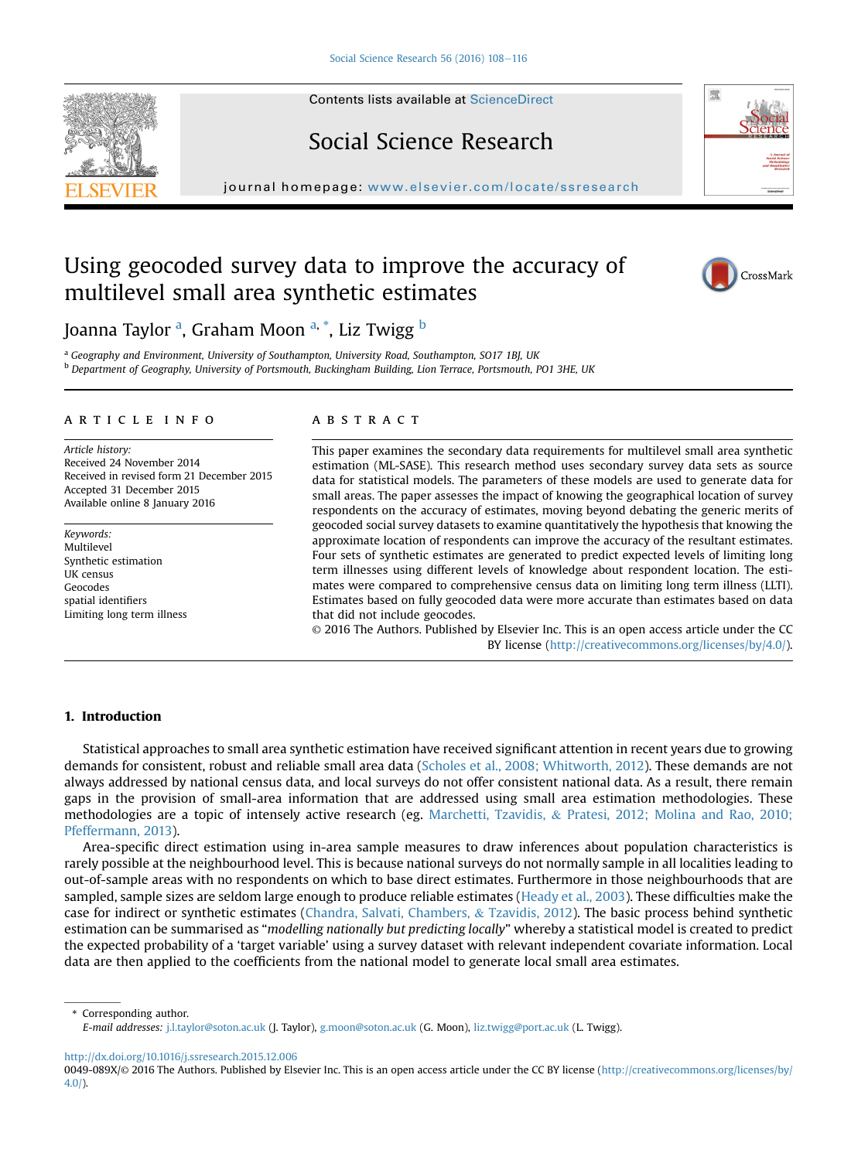

# Social Science Research

journal homepage: <www.elsevier.com/locate/ssresearch>/locate/ssresearch/locate/ssresearch/locate/ssresearch/locate/ssresearch/locate/ssresearch/locate/ssresearch/locate/ssresearch/locate/ssresearch/locate/ssresearch/locate

# Using geocoded survey data to improve the accuracy of multilevel small area synthetic estimates



覆

# CrossMark

Joanna Taylor <sup>a</sup>, Graham Moon <sup>a, \*</sup>, Liz Twigg <sup>b</sup>

<sup>a</sup> Geography and Environment, University of Southampton, University Road, Southampton, SO17 1BJ, UK **b Department of Geography, University of Portsmouth, Buckingham Building, Lion Terrace, Portsmouth, PO1 3HE, UK** 

#### article info

Article history: Received 24 November 2014 Received in revised form 21 December 2015 Accepted 31 December 2015 Available online 8 January 2016

Keywords: Multilevel Synthetic estimation UK census Geocodes spatial identifiers Limiting long term illness

#### **ABSTRACT**

This paper examines the secondary data requirements for multilevel small area synthetic estimation (ML-SASE). This research method uses secondary survey data sets as source data for statistical models. The parameters of these models are used to generate data for small areas. The paper assesses the impact of knowing the geographical location of survey respondents on the accuracy of estimates, moving beyond debating the generic merits of geocoded social survey datasets to examine quantitatively the hypothesis that knowing the approximate location of respondents can improve the accuracy of the resultant estimates. Four sets of synthetic estimates are generated to predict expected levels of limiting long term illnesses using different levels of knowledge about respondent location. The estimates were compared to comprehensive census data on limiting long term illness (LLTI). Estimates based on fully geocoded data were more accurate than estimates based on data that did not include geocodes.

© 2016 The Authors. Published by Elsevier Inc. This is an open access article under the CC BY license ([http://creativecommons.org/licenses/by/4.0/\)](http://creativecommons.org/licenses/by/4.�0/).

## 1. Introduction

Statistical approaches to small area synthetic estimation have received significant attention in recent years due to growing demands for consistent, robust and reliable small area data [\(Scholes et al., 2008; Whitworth, 2012](#page-8-0)). These demands are not always addressed by national census data, and local surveys do not offer consistent national data. As a result, there remain gaps in the provision of small-area information that are addressed using small area estimation methodologies. These methodologies are a topic of intensely active research (eg. [Marchetti, Tzavidis,](#page-7-0) & [Pratesi, 2012; Molina and Rao, 2010;](#page-7-0) [Pfeffermann, 2013](#page-7-0)).

Area-specific direct estimation using in-area sample measures to draw inferences about population characteristics is rarely possible at the neighbourhood level. This is because national surveys do not normally sample in all localities leading to out-of-sample areas with no respondents on which to base direct estimates. Furthermore in those neighbourhoods that are sampled, sample sizes are seldom large enough to produce reliable estimates ([Heady et al., 2003](#page-7-0)). These difficulties make the case for indirect or synthetic estimates [\(Chandra, Salvati, Chambers,](#page-7-0) & [Tzavidis, 2012](#page-7-0)). The basic process behind synthetic estimation can be summarised as "modelling nationally but predicting locally" whereby a statistical model is created to predict the expected probability of a 'target variable' using a survey dataset with relevant independent covariate information. Local data are then applied to the coefficients from the national model to generate local small area estimates.

\* Corresponding author.

<http://dx.doi.org/10.1016/j.ssresearch.2015.12.006>

E-mail addresses: [j.l.taylor@soton.ac.uk](mailto:j.l.taylor@soton.ac.uk) (J. Taylor), [g.moon@soton.ac.uk](mailto:g.moon@soton.ac.uk) (G. Moon), [liz.twigg@port.ac.uk](mailto:liz.twigg@port.ac.uk) (L. Twigg).

<sup>0049-089</sup>X/© 2016 The Authors. Published by Elsevier Inc. This is an open access article under the CC BY license ([http://creativecommons.org/licenses/by/](http://creativecommons.org/licenses/by/4.�0/) [4.0/](http://creativecommons.org/licenses/by/4.�0/)).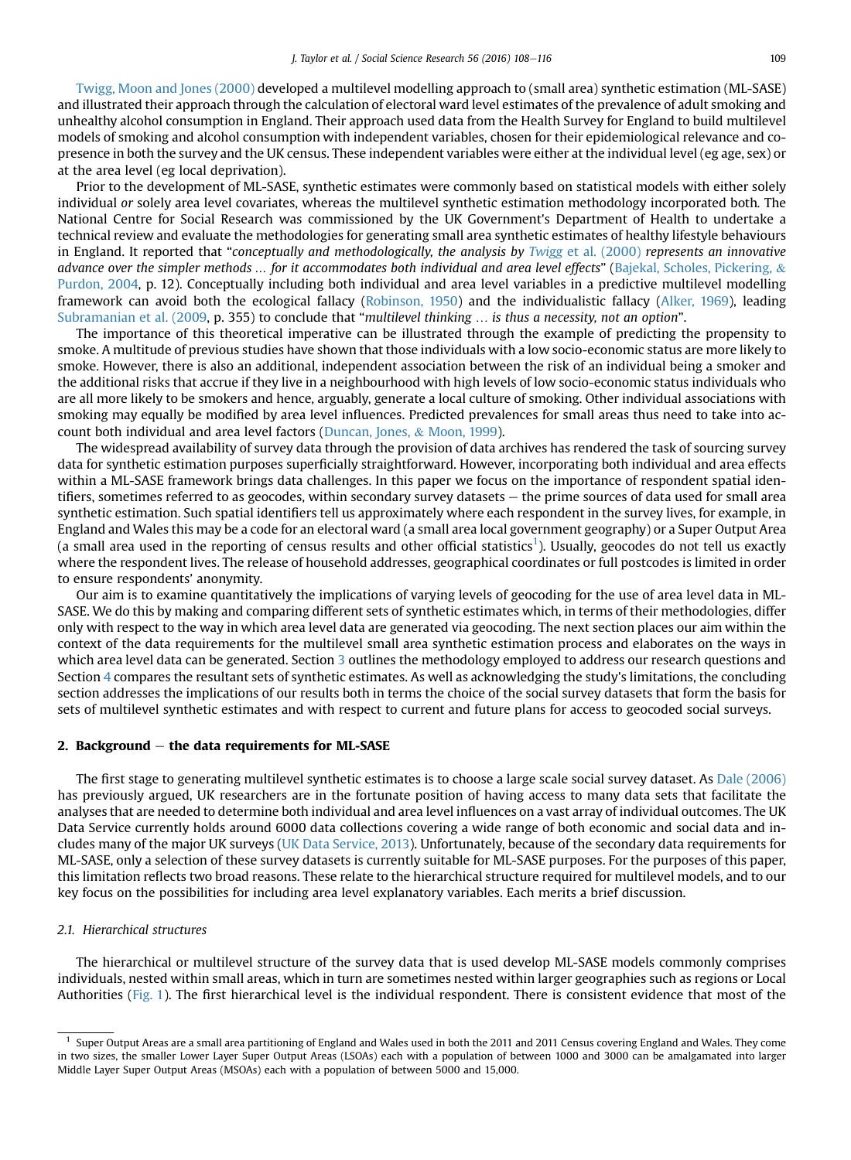[Twigg, Moon and Jones \(2000\)](#page-8-0) developed a multilevel modelling approach to (small area) synthetic estimation (ML-SASE) and illustrated their approach through the calculation of electoral ward level estimates of the prevalence of adult smoking and unhealthy alcohol consumption in England. Their approach used data from the Health Survey for England to build multilevel models of smoking and alcohol consumption with independent variables, chosen for their epidemiological relevance and copresence in both the survey and the UK census. These independent variables were either at the individual level (eg age, sex) or at the area level (eg local deprivation).

Prior to the development of ML-SASE, synthetic estimates were commonly based on statistical models with either solely individual or solely area level covariates, whereas the multilevel synthetic estimation methodology incorporated both. The National Centre for Social Research was commissioned by the UK Government's Department of Health to undertake a technical review and evaluate the methodologies for generating small area synthetic estimates of healthy lifestyle behaviours in England. It reported that "conceptually and methodologically, the analysis by Twigg [et al. \(2000\)](#page-8-0) represents an innovative advance over the simpler methods ... for it accommodates both individual and area level effects" [\(Bajekal, Scholes, Pickering,](#page-7-0) & [Purdon, 2004](#page-7-0), p. 12). Conceptually including both individual and area level variables in a predictive multilevel modelling framework can avoid both the ecological fallacy [\(Robinson, 1950\)](#page-8-0) and the individualistic fallacy [\(Alker, 1969](#page-7-0)), leading [Subramanian et al. \(2009](#page-8-0), p. 355) to conclude that "multilevel thinking … is thus a necessity, not an option".

The importance of this theoretical imperative can be illustrated through the example of predicting the propensity to smoke. A multitude of previous studies have shown that those individuals with a low socio-economic status are more likely to smoke. However, there is also an additional, independent association between the risk of an individual being a smoker and the additional risks that accrue if they live in a neighbourhood with high levels of low socio-economic status individuals who are all more likely to be smokers and hence, arguably, generate a local culture of smoking. Other individual associations with smoking may equally be modified by area level influences. Predicted prevalences for small areas thus need to take into account both individual and area level factors [\(Duncan, Jones,](#page-7-0) & [Moon, 1999](#page-7-0)).

The widespread availability of survey data through the provision of data archives has rendered the task of sourcing survey data for synthetic estimation purposes superficially straightforward. However, incorporating both individual and area effects within a ML-SASE framework brings data challenges. In this paper we focus on the importance of respondent spatial identifiers, sometimes referred to as geocodes, within secondary survey datasets – the prime sources of data used for small area synthetic estimation. Such spatial identifiers tell us approximately where each respondent in the survey lives, for example, in England and Wales this may be a code for an electoral ward (a small area local government geography) or a Super Output Area (a small area used in the reporting of census results and other official statistics $^1$ ). Usually, geocodes do not tell us exactly where the respondent lives. The release of household addresses, geographical coordinates or full postcodes is limited in order to ensure respondents' anonymity.

Our aim is to examine quantitatively the implications of varying levels of geocoding for the use of area level data in ML-SASE. We do this by making and comparing different sets of synthetic estimates which, in terms of their methodologies, differ only with respect to the way in which area level data are generated via geocoding. The next section places our aim within the context of the data requirements for the multilevel small area synthetic estimation process and elaborates on the ways in which area level data can be generated. Section [3](#page-3-0) outlines the methodology employed to address our research questions and Section [4](#page-5-0) compares the resultant sets of synthetic estimates. As well as acknowledging the study's limitations, the concluding section addresses the implications of our results both in terms the choice of the social survey datasets that form the basis for sets of multilevel synthetic estimates and with respect to current and future plans for access to geocoded social surveys.

#### 2. Background  $-$  the data requirements for ML-SASE

The first stage to generating multilevel synthetic estimates is to choose a large scale social survey dataset. As [Dale \(2006\)](#page-7-0) has previously argued, UK researchers are in the fortunate position of having access to many data sets that facilitate the analyses that are needed to determine both individual and area level influences on a vast array of individual outcomes. The UK Data Service currently holds around 6000 data collections covering a wide range of both economic and social data and includes many of the major UK surveys [\(UK Data Service, 2013](#page-8-0)). Unfortunately, because of the secondary data requirements for ML-SASE, only a selection of these survey datasets is currently suitable for ML-SASE purposes. For the purposes of this paper, this limitation reflects two broad reasons. These relate to the hierarchical structure required for multilevel models, and to our key focus on the possibilities for including area level explanatory variables. Each merits a brief discussion.

#### 2.1. Hierarchical structures

The hierarchical or multilevel structure of the survey data that is used develop ML-SASE models commonly comprises individuals, nested within small areas, which in turn are sometimes nested within larger geographies such as regions or Local Authorities ([Fig. 1\)](#page-2-0). The first hierarchical level is the individual respondent. There is consistent evidence that most of the

 $1$  Super Output Areas are a small area partitioning of England and Wales used in both the 2011 and 2011 Census covering England and Wales. They come in two sizes, the smaller Lower Layer Super Output Areas (LSOAs) each with a population of between 1000 and 3000 can be amalgamated into larger Middle Layer Super Output Areas (MSOAs) each with a population of between 5000 and 15,000.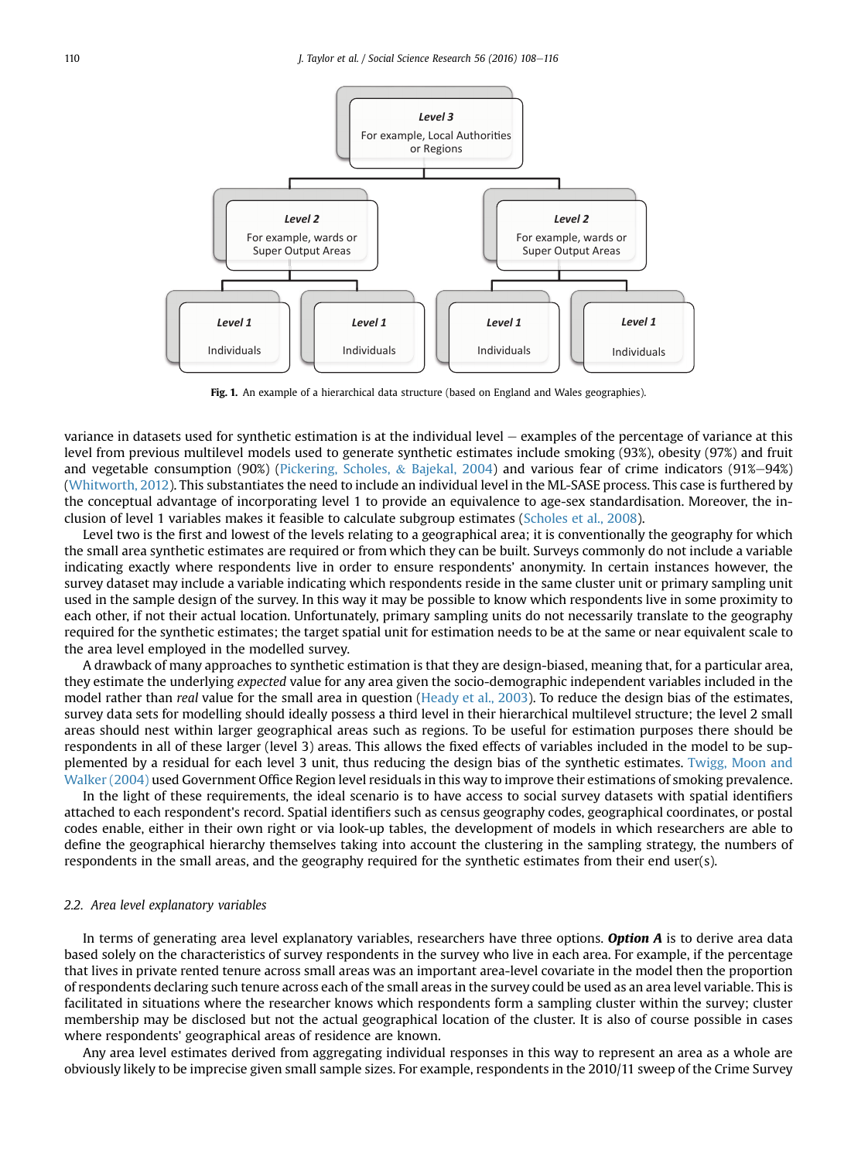<span id="page-2-0"></span>

Fig. 1. An example of a hierarchical data structure (based on England and Wales geographies).

variance in datasets used for synthetic estimation is at the individual level  $-$  examples of the percentage of variance at this level from previous multilevel models used to generate synthetic estimates include smoking (93%), obesity (97%) and fruit and vegetable consumption (90%) [\(Pickering, Scholes,](#page-8-0) & [Bajekal, 2004](#page-8-0)) and various fear of crime indicators (91%-94%) [\(Whitworth, 2012](#page-8-0)). This substantiates the need to include an individual level in the ML-SASE process. This case is furthered by the conceptual advantage of incorporating level 1 to provide an equivalence to age-sex standardisation. Moreover, the inclusion of level 1 variables makes it feasible to calculate subgroup estimates [\(Scholes et al., 2008\)](#page-8-0).

Level two is the first and lowest of the levels relating to a geographical area; it is conventionally the geography for which the small area synthetic estimates are required or from which they can be built. Surveys commonly do not include a variable indicating exactly where respondents live in order to ensure respondents' anonymity. In certain instances however, the survey dataset may include a variable indicating which respondents reside in the same cluster unit or primary sampling unit used in the sample design of the survey. In this way it may be possible to know which respondents live in some proximity to each other, if not their actual location. Unfortunately, primary sampling units do not necessarily translate to the geography required for the synthetic estimates; the target spatial unit for estimation needs to be at the same or near equivalent scale to the area level employed in the modelled survey.

A drawback of many approaches to synthetic estimation is that they are design-biased, meaning that, for a particular area, they estimate the underlying expected value for any area given the socio-demographic independent variables included in the model rather than real value for the small area in question ([Heady et al., 2003](#page-7-0)). To reduce the design bias of the estimates, survey data sets for modelling should ideally possess a third level in their hierarchical multilevel structure; the level 2 small areas should nest within larger geographical areas such as regions. To be useful for estimation purposes there should be respondents in all of these larger (level 3) areas. This allows the fixed effects of variables included in the model to be supplemented by a residual for each level 3 unit, thus reducing the design bias of the synthetic estimates. [Twigg, Moon and](#page-8-0) [Walker \(2004\)](#page-8-0) used Government Office Region level residuals in this way to improve their estimations of smoking prevalence.

In the light of these requirements, the ideal scenario is to have access to social survey datasets with spatial identifiers attached to each respondent's record. Spatial identifiers such as census geography codes, geographical coordinates, or postal codes enable, either in their own right or via look-up tables, the development of models in which researchers are able to define the geographical hierarchy themselves taking into account the clustering in the sampling strategy, the numbers of respondents in the small areas, and the geography required for the synthetic estimates from their end user(s).

### 2.2. Area level explanatory variables

In terms of generating area level explanatory variables, researchers have three options. **Option A** is to derive area data based solely on the characteristics of survey respondents in the survey who live in each area. For example, if the percentage that lives in private rented tenure across small areas was an important area-level covariate in the model then the proportion of respondents declaring such tenure across each of the small areas in the survey could be used as an area level variable. This is facilitated in situations where the researcher knows which respondents form a sampling cluster within the survey; cluster membership may be disclosed but not the actual geographical location of the cluster. It is also of course possible in cases where respondents' geographical areas of residence are known.

Any area level estimates derived from aggregating individual responses in this way to represent an area as a whole are obviously likely to be imprecise given small sample sizes. For example, respondents in the 2010/11 sweep of the Crime Survey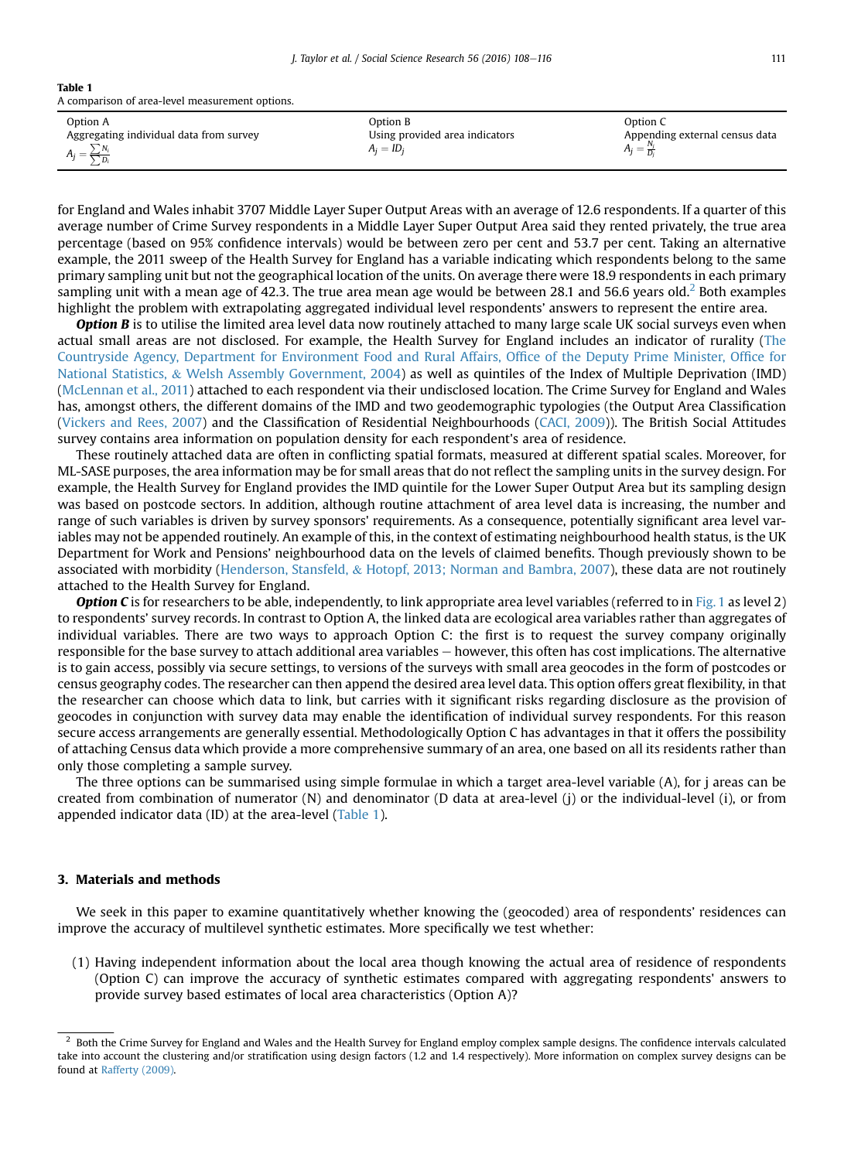<span id="page-3-0"></span>

| <b>Table 1</b>                                  |  |
|-------------------------------------------------|--|
| A comparison of area-level measurement options. |  |

| Option A                                | Option B                       | Option C                       |
|-----------------------------------------|--------------------------------|--------------------------------|
| Aggregating individual data from survey | Using provided area indicators | Appending external census data |
| $A_j = \frac{\sum_i N_i}{D_i}$          | $A_i = ID_i$                   | $A_j = \frac{iy}{D_i}$         |
|                                         |                                |                                |

for England and Wales inhabit 3707 Middle Layer Super Output Areas with an average of 12.6 respondents. If a quarter of this average number of Crime Survey respondents in a Middle Layer Super Output Area said they rented privately, the true area percentage (based on 95% confidence intervals) would be between zero per cent and 53.7 per cent. Taking an alternative example, the 2011 sweep of the Health Survey for England has a variable indicating which respondents belong to the same primary sampling unit but not the geographical location of the units. On average there were 18.9 respondents in each primary sampling unit with a mean age of 42.3. The true area mean age would be between 28.1 and 56.6 years old.<sup>2</sup> Both examples highlight the problem with extrapolating aggregated individual level respondents' answers to represent the entire area.

**Option B** is to utilise the limited area level data now routinely attached to many large scale UK social surveys even when actual small areas are not disclosed. For example, the Health Survey for England includes an indicator of rurality [\(The](#page-8-0) [Countryside Agency, Department for Environment Food and Rural Affairs, Of](#page-8-0)fice of the Deputy Prime Minister, Office for [National Statistics,](#page-8-0) & [Welsh Assembly Government, 2004](#page-8-0)) as well as quintiles of the Index of Multiple Deprivation (IMD) ([McLennan et al., 2011\)](#page-7-0) attached to each respondent via their undisclosed location. The Crime Survey for England and Wales has, amongst others, the different domains of the IMD and two geodemographic typologies (the Output Area Classification ([Vickers and Rees, 2007](#page-8-0)) and the Classification of Residential Neighbourhoods [\(CACI, 2009](#page-7-0))). The British Social Attitudes survey contains area information on population density for each respondent's area of residence.

These routinely attached data are often in conflicting spatial formats, measured at different spatial scales. Moreover, for ML-SASE purposes, the area information may be for small areas that do not reflect the sampling units in the survey design. For example, the Health Survey for England provides the IMD quintile for the Lower Super Output Area but its sampling design was based on postcode sectors. In addition, although routine attachment of area level data is increasing, the number and range of such variables is driven by survey sponsors' requirements. As a consequence, potentially significant area level variables may not be appended routinely. An example of this, in the context of estimating neighbourhood health status, is the UK Department for Work and Pensions' neighbourhood data on the levels of claimed benefits. Though previously shown to be associated with morbidity [\(Henderson, Stansfeld,](#page-7-0) & [Hotopf, 2013; Norman and Bambra, 2007](#page-7-0)), these data are not routinely attached to the Health Survey for England.

**Option C** is for researchers to be able, independently, to link appropriate area level variables (referred to in [Fig. 1](#page-2-0) as level 2) to respondents' survey records. In contrast to Option A, the linked data are ecological area variables rather than aggregates of individual variables. There are two ways to approach Option C: the first is to request the survey company originally responsible for the base survey to attach additional area variables - however, this often has cost implications. The alternative is to gain access, possibly via secure settings, to versions of the surveys with small area geocodes in the form of postcodes or census geography codes. The researcher can then append the desired area level data. This option offers great flexibility, in that the researcher can choose which data to link, but carries with it significant risks regarding disclosure as the provision of geocodes in conjunction with survey data may enable the identification of individual survey respondents. For this reason secure access arrangements are generally essential. Methodologically Option C has advantages in that it offers the possibility of attaching Census data which provide a more comprehensive summary of an area, one based on all its residents rather than only those completing a sample survey.

The three options can be summarised using simple formulae in which a target area-level variable (A), for j areas can be created from combination of numerator (N) and denominator (D data at area-level (j) or the individual-level (i), or from appended indicator data (ID) at the area-level (Table 1).

#### 3. Materials and methods

We seek in this paper to examine quantitatively whether knowing the (geocoded) area of respondents' residences can improve the accuracy of multilevel synthetic estimates. More specifically we test whether:

(1) Having independent information about the local area though knowing the actual area of residence of respondents (Option C) can improve the accuracy of synthetic estimates compared with aggregating respondents' answers to provide survey based estimates of local area characteristics (Option A)?

<sup>&</sup>lt;sup>2</sup> Both the Crime Survey for England and Wales and the Health Survey for England employ complex sample designs. The confidence intervals calculated take into account the clustering and/or stratification using design factors (1.2 and 1.4 respectively). More information on complex survey designs can be found at [Rafferty \(2009\)](#page-8-0).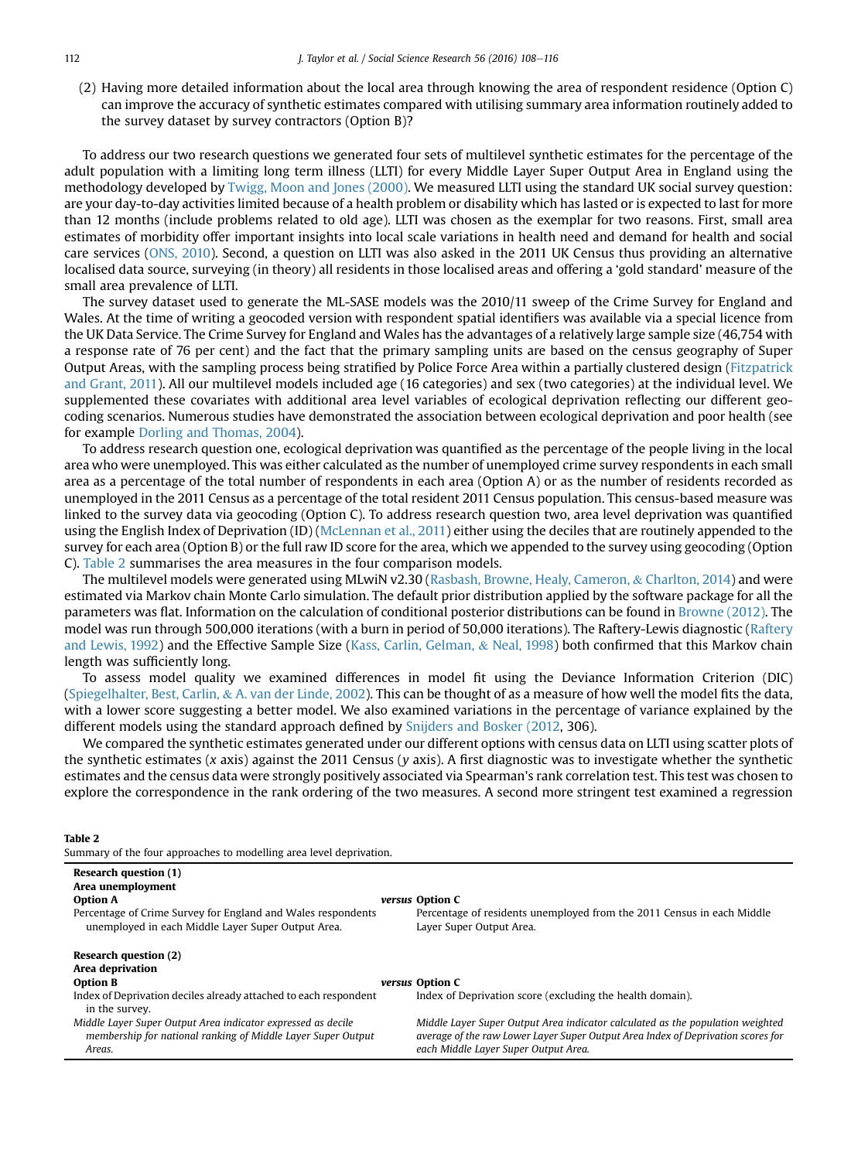(2) Having more detailed information about the local area through knowing the area of respondent residence (Option C) can improve the accuracy of synthetic estimates compared with utilising summary area information routinely added to the survey dataset by survey contractors (Option B)?

To address our two research questions we generated four sets of multilevel synthetic estimates for the percentage of the adult population with a limiting long term illness (LLTI) for every Middle Layer Super Output Area in England using the methodology developed by [Twigg, Moon and Jones \(2000\)](#page-8-0). We measured LLTI using the standard UK social survey question: are your day-to-day activities limited because of a health problem or disability which has lasted or is expected to last for more than 12 months (include problems related to old age). LLTI was chosen as the exemplar for two reasons. First, small area estimates of morbidity offer important insights into local scale variations in health need and demand for health and social care services ([ONS, 2010\)](#page-8-0). Second, a question on LLTI was also asked in the 2011 UK Census thus providing an alternative localised data source, surveying (in theory) all residents in those localised areas and offering a 'gold standard' measure of the small area prevalence of LLTI.

The survey dataset used to generate the ML-SASE models was the 2010/11 sweep of the Crime Survey for England and Wales. At the time of writing a geocoded version with respondent spatial identifiers was available via a special licence from the UK Data Service. The Crime Survey for England and Wales has the advantages of a relatively large sample size (46,754 with a response rate of 76 per cent) and the fact that the primary sampling units are based on the census geography of Super Output Areas, with the sampling process being stratified by Police Force Area within a partially clustered design [\(Fitzpatrick](#page-7-0) [and Grant, 2011\)](#page-7-0). All our multilevel models included age (16 categories) and sex (two categories) at the individual level. We supplemented these covariates with additional area level variables of ecological deprivation reflecting our different geocoding scenarios. Numerous studies have demonstrated the association between ecological deprivation and poor health (see for example [Dorling and Thomas, 2004](#page-7-0)).

To address research question one, ecological deprivation was quantified as the percentage of the people living in the local area who were unemployed. This was either calculated as the number of unemployed crime survey respondents in each small area as a percentage of the total number of respondents in each area (Option A) or as the number of residents recorded as unemployed in the 2011 Census as a percentage of the total resident 2011 Census population. This census-based measure was linked to the survey data via geocoding (Option C). To address research question two, area level deprivation was quantified using the English Index of Deprivation (ID) ([McLennan et al., 2011](#page-7-0)) either using the deciles that are routinely appended to the survey for each area (Option B) or the full raw ID score for the area, which we appended to the survey using geocoding (Option C). Table 2 summarises the area measures in the four comparison models.

The multilevel models were generated using MLwiN v2.30 [\(Rasbash, Browne, Healy, Cameron,](#page-8-0) & [Charlton, 2014\)](#page-8-0) and were estimated via Markov chain Monte Carlo simulation. The default prior distribution applied by the software package for all the parameters was flat. Information on the calculation of conditional posterior distributions can be found in [Browne \(2012\).](#page-7-0) The model was run through 500,000 iterations (with a burn in period of 50,000 iterations). The Raftery-Lewis diagnostic [\(Raftery](#page-8-0) [and Lewis, 1992\)](#page-8-0) and the Effective Sample Size ([Kass, Carlin, Gelman,](#page-7-0) & [Neal, 1998](#page-7-0)) both confirmed that this Markov chain length was sufficiently long.

To assess model quality we examined differences in model fit using the Deviance Information Criterion (DIC) [\(Spiegelhalter, Best, Carlin,](#page-8-0) & [A. van der Linde, 2002\)](#page-8-0). This can be thought of as a measure of how well the model fits the data, with a lower score suggesting a better model. We also examined variations in the percentage of variance explained by the different models using the standard approach defined by [Snijders and Bosker \(2012](#page-8-0), 306).

We compared the synthetic estimates generated under our different options with census data on LLTI using scatter plots of the synthetic estimates (x axis) against the 2011 Census (y axis). A first diagnostic was to investigate whether the synthetic estimates and the census data were strongly positively associated via Spearman's rank correlation test. This test was chosen to explore the correspondence in the rank ordering of the two measures. A second more stringent test examined a regression

Table 2

Summary of the four approaches to modelling area level deprivation.

| <b>Research question (1)</b><br>Area unemployment                                                                                      |                                                                                                                                                                                                            |
|----------------------------------------------------------------------------------------------------------------------------------------|------------------------------------------------------------------------------------------------------------------------------------------------------------------------------------------------------------|
| <b>Option A</b>                                                                                                                        | versus Option C                                                                                                                                                                                            |
| Percentage of Crime Survey for England and Wales respondents<br>unemployed in each Middle Layer Super Output Area.                     | Percentage of residents unemployed from the 2011 Census in each Middle<br>Layer Super Output Area.                                                                                                         |
| Research question (2)                                                                                                                  |                                                                                                                                                                                                            |
| Area deprivation                                                                                                                       |                                                                                                                                                                                                            |
| <b>Option B</b>                                                                                                                        | versus Option C                                                                                                                                                                                            |
| Index of Deprivation deciles already attached to each respondent<br>in the survey.                                                     | Index of Deprivation score (excluding the health domain).                                                                                                                                                  |
| Middle Layer Super Output Area indicator expressed as decile<br>membership for national ranking of Middle Layer Super Output<br>Areas. | Middle Layer Super Output Area indicator calculated as the population weighted<br>average of the raw Lower Layer Super Output Area Index of Deprivation scores for<br>each Middle Layer Super Output Area. |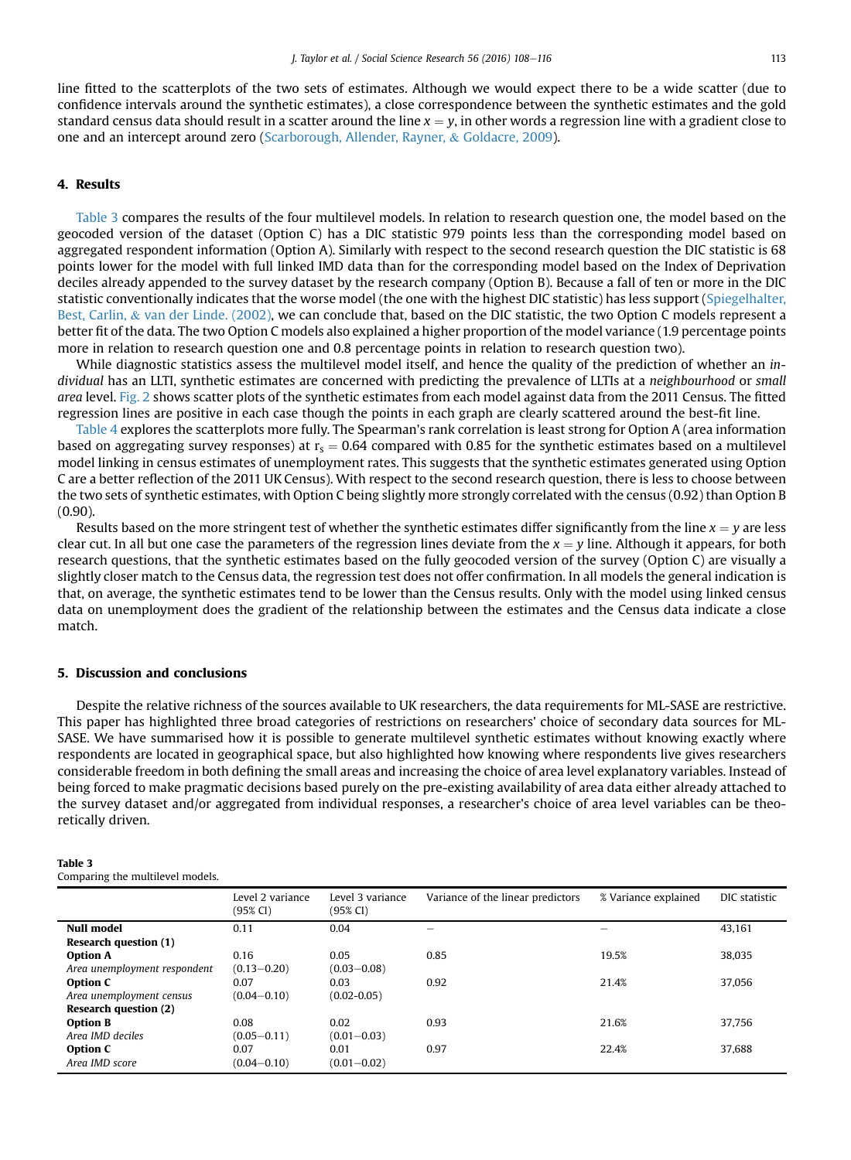<span id="page-5-0"></span>line fitted to the scatterplots of the two sets of estimates. Although we would expect there to be a wide scatter (due to confidence intervals around the synthetic estimates), a close correspondence between the synthetic estimates and the gold standard census data should result in a scatter around the line  $x = y$ , in other words a regression line with a gradient close to one and an intercept around zero [\(Scarborough, Allender, Rayner,](#page-8-0) & [Goldacre, 2009\)](#page-8-0).

#### 4. Results

Table 3 compares the results of the four multilevel models. In relation to research question one, the model based on the geocoded version of the dataset (Option C) has a DIC statistic 979 points less than the corresponding model based on aggregated respondent information (Option A). Similarly with respect to the second research question the DIC statistic is 68 points lower for the model with full linked IMD data than for the corresponding model based on the Index of Deprivation deciles already appended to the survey dataset by the research company (Option B). Because a fall of ten or more in the DIC statistic conventionally indicates that the worse model (the one with the highest DIC statistic) has less support [\(Spiegelhalter,](#page-8-0) [Best, Carlin,](#page-8-0) & [van der Linde. \(2002\),](#page-8-0) we can conclude that, based on the DIC statistic, the two Option C models represent a better fit of the data. The two Option C models also explained a higher proportion of the model variance (1.9 percentage points more in relation to research question one and 0.8 percentage points in relation to research question two).

While diagnostic statistics assess the multilevel model itself, and hence the quality of the prediction of whether an individual has an LLTI, synthetic estimates are concerned with predicting the prevalence of LLTIs at a neighbourhood or small area level. [Fig. 2](#page-6-0) shows scatter plots of the synthetic estimates from each model against data from the 2011 Census. The fitted regression lines are positive in each case though the points in each graph are clearly scattered around the best-fit line.

[Table 4](#page-7-0) explores the scatterplots more fully. The Spearman's rank correlation is least strong for Option A (area information based on aggregating survey responses) at  $r_s = 0.64$  compared with 0.85 for the synthetic estimates based on a multilevel model linking in census estimates of unemployment rates. This suggests that the synthetic estimates generated using Option C are a better reflection of the 2011 UK Census). With respect to the second research question, there is less to choose between the two sets of synthetic estimates, with Option C being slightly more strongly correlated with the census (0.92) than Option B (0.90).

Results based on the more stringent test of whether the synthetic estimates differ significantly from the line  $x = y$  are less clear cut. In all but one case the parameters of the regression lines deviate from the  $x = y$  line. Although it appears, for both research questions, that the synthetic estimates based on the fully geocoded version of the survey (Option C) are visually a slightly closer match to the Census data, the regression test does not offer confirmation. In all models the general indication is that, on average, the synthetic estimates tend to be lower than the Census results. Only with the model using linked census data on unemployment does the gradient of the relationship between the estimates and the Census data indicate a close match.

## 5. Discussion and conclusions

Despite the relative richness of the sources available to UK researchers, the data requirements for ML-SASE are restrictive. This paper has highlighted three broad categories of restrictions on researchers' choice of secondary data sources for ML-SASE. We have summarised how it is possible to generate multilevel synthetic estimates without knowing exactly where respondents are located in geographical space, but also highlighted how knowing where respondents live gives researchers considerable freedom in both defining the small areas and increasing the choice of area level explanatory variables. Instead of being forced to make pragmatic decisions based purely on the pre-existing availability of area data either already attached to the survey dataset and/or aggregated from individual responses, a researcher's choice of area level variables can be theoretically driven.

| Table |  |
|-------|--|
|       |  |

Comparing the multilevel models.

|                              | Level 2 variance<br>(95% CI) | Level 3 variance<br>$(95\% \text{ CI})$ | Variance of the linear predictors | % Variance explained | DIC statistic |
|------------------------------|------------------------------|-----------------------------------------|-----------------------------------|----------------------|---------------|
| Null model                   | 0.11                         | 0.04                                    |                                   |                      | 43,161        |
| <b>Research question (1)</b> |                              |                                         |                                   |                      |               |
| <b>Option A</b>              | 0.16                         | 0.05                                    | 0.85                              | 19.5%                | 38.035        |
| Area unemployment respondent | $(0.13 - 0.20)$              | $(0.03 - 0.08)$                         |                                   |                      |               |
| Option C                     | 0.07                         | 0.03                                    | 0.92                              | 21.4%                | 37.056        |
| Area unemployment census     | $(0.04 - 0.10)$              | $(0.02 - 0.05)$                         |                                   |                      |               |
| <b>Research question (2)</b> |                              |                                         |                                   |                      |               |
| <b>Option B</b>              | 0.08                         | 0.02                                    | 0.93                              | 21.6%                | 37.756        |
| Area IMD deciles             | $(0.05 - 0.11)$              | $(0.01 - 0.03)$                         |                                   |                      |               |
| <b>Option C</b>              | 0.07                         | 0.01                                    | 0.97                              | 22.4%                | 37.688        |
| Area IMD score               | $(0.04 - 0.10)$              | $(0.01 - 0.02)$                         |                                   |                      |               |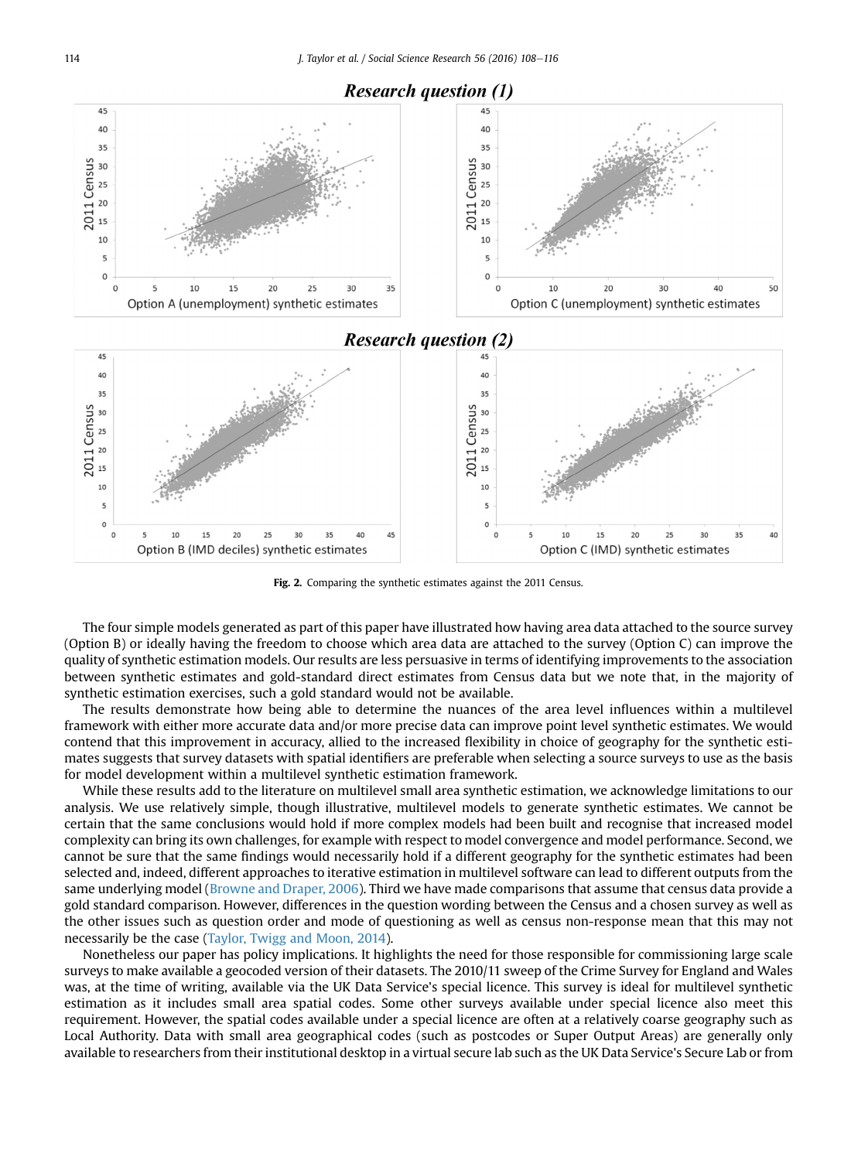<span id="page-6-0"></span>

Fig. 2. Comparing the synthetic estimates against the 2011 Census.

The four simple models generated as part of this paper have illustrated how having area data attached to the source survey (Option B) or ideally having the freedom to choose which area data are attached to the survey (Option C) can improve the quality of synthetic estimation models. Our results are less persuasive in terms of identifying improvements to the association between synthetic estimates and gold-standard direct estimates from Census data but we note that, in the majority of synthetic estimation exercises, such a gold standard would not be available.

The results demonstrate how being able to determine the nuances of the area level influences within a multilevel framework with either more accurate data and/or more precise data can improve point level synthetic estimates. We would contend that this improvement in accuracy, allied to the increased flexibility in choice of geography for the synthetic estimates suggests that survey datasets with spatial identifiers are preferable when selecting a source surveys to use as the basis for model development within a multilevel synthetic estimation framework.

While these results add to the literature on multilevel small area synthetic estimation, we acknowledge limitations to our analysis. We use relatively simple, though illustrative, multilevel models to generate synthetic estimates. We cannot be certain that the same conclusions would hold if more complex models had been built and recognise that increased model complexity can bring its own challenges, for example with respect to model convergence and model performance. Second, we cannot be sure that the same findings would necessarily hold if a different geography for the synthetic estimates had been selected and, indeed, different approaches to iterative estimation in multilevel software can lead to different outputs from the same underlying model [\(Browne and Draper, 2006](#page-7-0)). Third we have made comparisons that assume that census data provide a gold standard comparison. However, differences in the question wording between the Census and a chosen survey as well as the other issues such as question order and mode of questioning as well as census non-response mean that this may not necessarily be the case [\(Taylor, Twigg and Moon, 2014\)](#page-8-0).

Nonetheless our paper has policy implications. It highlights the need for those responsible for commissioning large scale surveys to make available a geocoded version of their datasets. The 2010/11 sweep of the Crime Survey for England and Wales was, at the time of writing, available via the UK Data Service's special licence. This survey is ideal for multilevel synthetic estimation as it includes small area spatial codes. Some other surveys available under special licence also meet this requirement. However, the spatial codes available under a special licence are often at a relatively coarse geography such as Local Authority. Data with small area geographical codes (such as postcodes or Super Output Areas) are generally only available to researchers from their institutional desktop in a virtual secure lab such as the UK Data Service's Secure Lab or from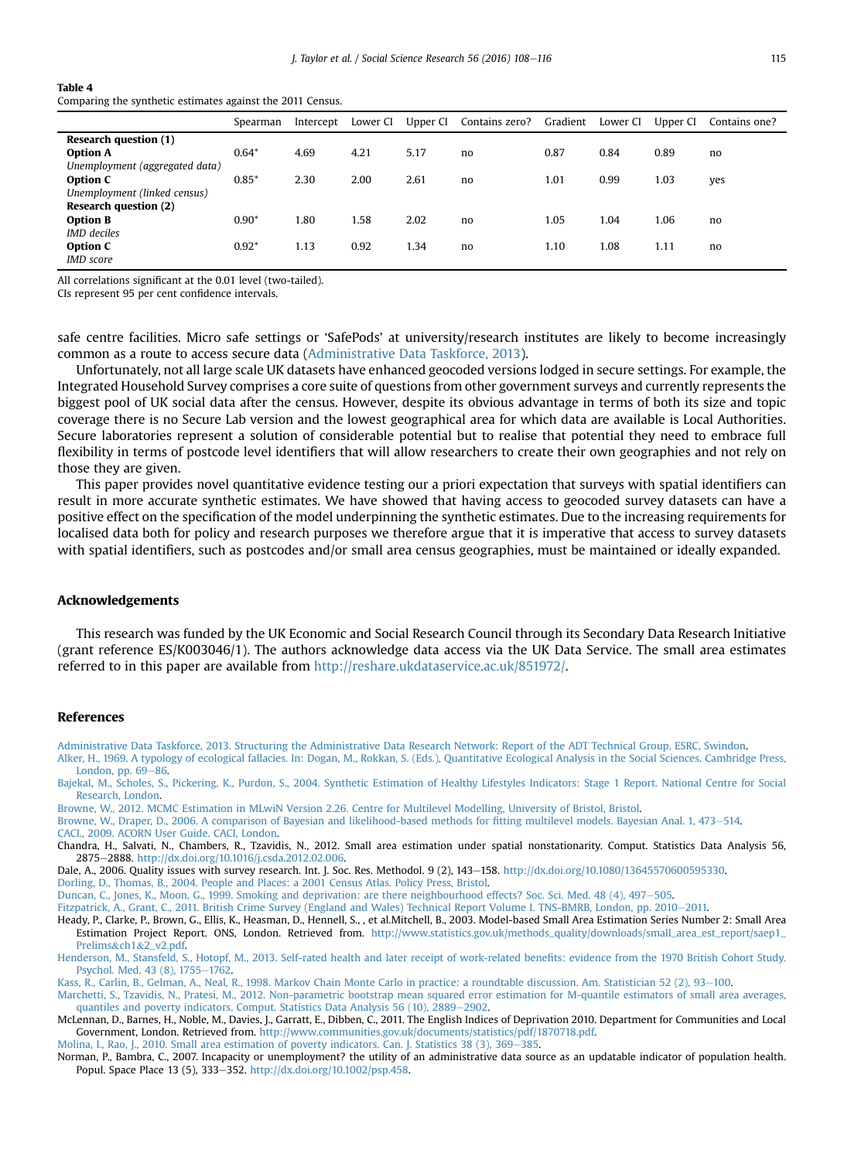#### <span id="page-7-0"></span>Table 4

Comparing the synthetic estimates against the 2011 Census.

|                                | Spearman | Intercept | Lower CI | Upper CI | Contains zero? | Gradient | Lower CI | Upper CI | Contains one? |
|--------------------------------|----------|-----------|----------|----------|----------------|----------|----------|----------|---------------|
| <b>Research question (1)</b>   |          |           |          |          |                |          |          |          |               |
| <b>Option A</b>                | $0.64*$  | 4.69      | 4.21     | 5.17     | no             | 0.87     | 0.84     | 0.89     | no            |
| Unemployment (aggregated data) |          |           |          |          |                |          |          |          |               |
| <b>Option C</b>                | $0.85*$  | 2.30      | 2.00     | 2.61     | no             | 1.01     | 0.99     | 1.03     | yes           |
| Unemployment (linked census)   |          |           |          |          |                |          |          |          |               |
| <b>Research question (2)</b>   |          |           |          |          |                |          |          |          |               |
| <b>Option B</b>                | $0.90*$  | 1.80      | 1.58     | 2.02     | no             | 1.05     | 1.04     | 1.06     | no            |
| <b>IMD</b> deciles             |          |           |          |          |                |          |          |          |               |
| Option C                       | $0.92*$  | 1.13      | 0.92     | 1.34     | no             | 1.10     | 1.08     | 1.11     | no            |
| <b>IMD</b> score               |          |           |          |          |                |          |          |          |               |

All correlations significant at the 0.01 level (two-tailed).

CIs represent 95 per cent confidence intervals.

safe centre facilities. Micro safe settings or 'SafePods' at university/research institutes are likely to become increasingly common as a route to access secure data (Administrative Data Taskforce, 2013).

Unfortunately, not all large scale UK datasets have enhanced geocoded versions lodged in secure settings. For example, the Integrated Household Survey comprises a core suite of questions from other government surveys and currently represents the biggest pool of UK social data after the census. However, despite its obvious advantage in terms of both its size and topic coverage there is no Secure Lab version and the lowest geographical area for which data are available is Local Authorities. Secure laboratories represent a solution of considerable potential but to realise that potential they need to embrace full flexibility in terms of postcode level identifiers that will allow researchers to create their own geographies and not rely on those they are given.

This paper provides novel quantitative evidence testing our a priori expectation that surveys with spatial identifiers can result in more accurate synthetic estimates. We have showed that having access to geocoded survey datasets can have a positive effect on the specification of the model underpinning the synthetic estimates. Due to the increasing requirements for localised data both for policy and research purposes we therefore argue that it is imperative that access to survey datasets with spatial identifiers, such as postcodes and/or small area census geographies, must be maintained or ideally expanded.

#### Acknowledgements

This research was funded by the UK Economic and Social Research Council through its Secondary Data Research Initiative (grant reference ES/K003046/1). The authors acknowledge data access via the UK Data Service. The small area estimates referred to in this paper are available from [http://reshare.ukdataservice.ac.uk/851972/.](http://reshare.ukdataservice.ac.uk/851972/)

#### References

[Administrative Data Taskforce, 2013. Structuring the Administrative Data Research Network: Report of the ADT Technical Group. ESRC, Swindon](http://refhub.elsevier.com/S0049-089X(16)00005-3/sref1). [Alker, H., 1969. A typology of ecological fallacies. In: Dogan, M., Rokkan, S. \(Eds.\), Quantitative Ecological Analysis in the Social Sciences. Cambridge Press,](http://refhub.elsevier.com/S0049-089X(16)00005-3/sref2) [London, pp. 69](http://refhub.elsevier.com/S0049-089X(16)00005-3/sref2)-[86.](http://refhub.elsevier.com/S0049-089X(16)00005-3/sref2)

[Bajekal, M., Scholes, S., Pickering, K., Purdon, S., 2004. Synthetic Estimation of Healthy Lifestyles Indicators: Stage 1 Report. National Centre for Social](http://refhub.elsevier.com/S0049-089X(16)00005-3/sref3) [Research, London](http://refhub.elsevier.com/S0049-089X(16)00005-3/sref3).

[Browne, W., 2012. MCMC Estimation in MLwiN Version 2.26. Centre for Multilevel Modelling, University of Bristol, Bristol](http://refhub.elsevier.com/S0049-089X(16)00005-3/sref4).

[Browne, W., Draper, D., 2006. A comparison of Bayesian and likelihood-based methods for](http://refhub.elsevier.com/S0049-089X(16)00005-3/sref5) fitting multilevel models. Bayesian Anal. 1, 473-[514.](http://refhub.elsevier.com/S0049-089X(16)00005-3/sref5) [CACI., 2009. ACORN User Guide. CACI, London](http://refhub.elsevier.com/S0049-089X(16)00005-3/sref6).

Chandra, H., Salvati, N., Chambers, R., Tzavidis, N., 2012. Small area estimation under spatial nonstationarity. Comput. Statistics Data Analysis 56, 2875-2888. <http://dx.doi.org/10.1016/j.csda.2012.02.006>.

Dale, A., 2006. Quality issues with survey research. Int. J. Soc. Res. Methodol. 9 (2), 143-158. [http://dx.doi.org/10.1080/13645570600595330.](http://dx.doi.org/10.1080/13645570600595330)

[Dorling, D., Thomas, B., 2004. People and Places: a 2001 Census Atlas. Policy Press, Bristol.](http://refhub.elsevier.com/S0049-089X(16)00005-3/sref9)

[Duncan, C., Jones, K., Moon, G., 1999. Smoking and deprivation: are there neighbourhood effects? Soc. Sci. Med. 48 \(4\), 497](http://refhub.elsevier.com/S0049-089X(16)00005-3/sref10)-[505](http://refhub.elsevier.com/S0049-089X(16)00005-3/sref10).

[Fitzpatrick, A., Grant, C., 2011. British Crime Survey \(England and Wales\) Technical Report Volume I. TNS-BMRB, London, pp. 2010](http://refhub.elsevier.com/S0049-089X(16)00005-3/sref11)-[2011.](http://refhub.elsevier.com/S0049-089X(16)00005-3/sref11)

Heady, P., Clarke, P., Brown, G., Ellis, K., Heasman, D., Hennell, S., , et al.Mitchell, B., 2003. Model-based Small Area Estimation Series Number 2: Small Area Estimation Project Report. ONS, London. Retrieved from. [http://www.statistics.gov.uk/methods\\_quality/downloads/small\\_area\\_est\\_report/saep1\\_](http://www.statistics.gov.uk/methods_quality/downloads/small_area_est_report/saep1_Prelims%26ch1%262_v2.pdf) [Prelims](http://www.statistics.gov.uk/methods_quality/downloads/small_area_est_report/saep1_Prelims%26ch1%262_v2.pdf)&[ch1](http://www.statistics.gov.uk/methods_quality/downloads/small_area_est_report/saep1_Prelims%26ch1%262_v2.pdf)&[2\\_v2.pdf](http://www.statistics.gov.uk/methods_quality/downloads/small_area_est_report/saep1_Prelims%26ch1%262_v2.pdf).

[Henderson, M., Stansfeld, S., Hotopf, M., 2013. Self-rated health and later receipt of work-related bene](http://refhub.elsevier.com/S0049-089X(16)00005-3/sref13)fits: evidence from the 1970 British Cohort Study. [Psychol. Med. 43 \(8\), 1755](http://refhub.elsevier.com/S0049-089X(16)00005-3/sref13)-[1762.](http://refhub.elsevier.com/S0049-089X(16)00005-3/sref13)

[Kass, R., Carlin, B., Gelman, A., Neal, R., 1998. Markov Chain Monte Carlo in practice: a roundtable discussion. Am. Statistician 52 \(2\), 93](http://refhub.elsevier.com/S0049-089X(16)00005-3/sref14)-[100.](http://refhub.elsevier.com/S0049-089X(16)00005-3/sref14)

[Marchetti, S., Tzavidis, N., Pratesi, M., 2012. Non-parametric bootstrap mean squared error estimation for M-quantile estimators of small area averages,](http://refhub.elsevier.com/S0049-089X(16)00005-3/sref15) [quantiles and poverty indicators. Comput. Statistics Data Analysis 56 \(10\), 2889](http://refhub.elsevier.com/S0049-089X(16)00005-3/sref15)-[2902](http://refhub.elsevier.com/S0049-089X(16)00005-3/sref15).

McLennan, D., Barnes, H., Noble, M., Davies, J., Garratt, E., Dibben, C., 2011. The English Indices of Deprivation 2010. Department for Communities and Local Government, London. Retrieved from. <http://www.communities.gov.uk/documents/statistics/pdf/1870718.pdf>. [Molina, I., Rao, J., 2010. Small area estimation of poverty indicators. Can. J. Statistics 38 \(3\), 369](http://refhub.elsevier.com/S0049-089X(16)00005-3/sref17)-[385.](http://refhub.elsevier.com/S0049-089X(16)00005-3/sref17)

Norman, P., Bambra, C., 2007. Incapacity or unemployment? the utility of an administrative data source as an updatable indicator of population health. Popul. Space Place 13 (5), 333-352. <http://dx.doi.org/10.1002/psp.458>.